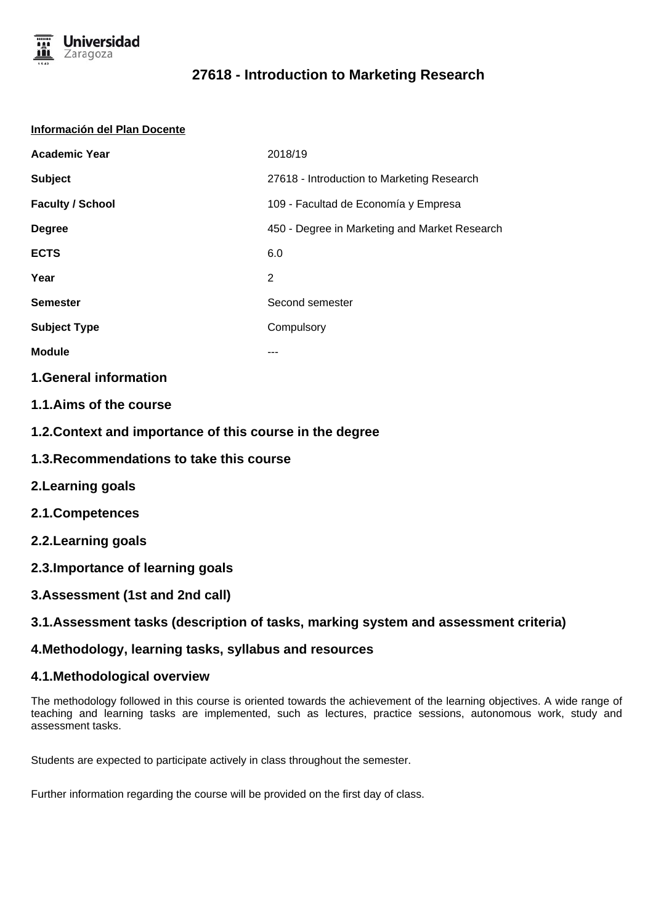

# **27618 - Introduction to Marketing Research**

#### **Información del Plan Docente**

| <b>Academic Year</b>    | 2018/19                                       |
|-------------------------|-----------------------------------------------|
| <b>Subject</b>          | 27618 - Introduction to Marketing Research    |
| <b>Faculty / School</b> | 109 - Facultad de Economía y Empresa          |
| <b>Degree</b>           | 450 - Degree in Marketing and Market Research |
| <b>ECTS</b>             | 6.0                                           |
| Year                    | 2                                             |
| <b>Semester</b>         | Second semester                               |
| <b>Subject Type</b>     | Compulsory                                    |
| <b>Module</b>           |                                               |

### **1.General information**

- **1.1.Aims of the course**
- **1.2.Context and importance of this course in the degree**
- **1.3.Recommendations to take this course**
- **2.Learning goals**
- **2.1.Competences**
- **2.2.Learning goals**
- **2.3.Importance of learning goals**
- **3.Assessment (1st and 2nd call)**

# **3.1.Assessment tasks (description of tasks, marking system and assessment criteria)**

# **4.Methodology, learning tasks, syllabus and resources**

# **4.1.Methodological overview**

The methodology followed in this course is oriented towards the achievement of the learning objectives. A wide range of teaching and learning tasks are implemented, such as lectures, practice sessions, autonomous work, study and assessment tasks.

Students are expected to participate actively in class throughout the semester.

Further information regarding the course will be provided on the first day of class.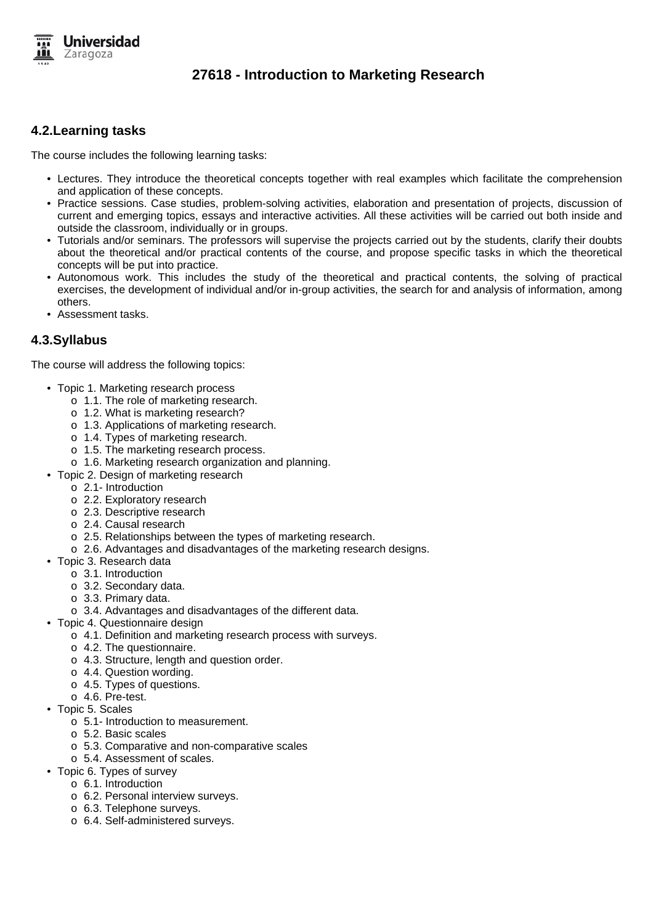

# **27618 - Introduction to Marketing Research**

# **4.2.Learning tasks**

The course includes the following learning tasks:

- Lectures. They introduce the theoretical concepts together with real examples which facilitate the comprehension and application of these concepts.
- Practice sessions. Case studies, problem-solving activities, elaboration and presentation of projects, discussion of current and emerging topics, essays and interactive activities. All these activities will be carried out both inside and outside the classroom, individually or in groups.
- Tutorials and/or seminars. The professors will supervise the projects carried out by the students, clarify their doubts about the theoretical and/or practical contents of the course, and propose specific tasks in which the theoretical concepts will be put into practice.
- Autonomous work. This includes the study of the theoretical and practical contents, the solving of practical exercises, the development of individual and/or in-group activities, the search for and analysis of information, among others.
- Assessment tasks.

### **4.3.Syllabus**

The course will address the following topics:

- Topic 1. Marketing research process
	- o 1.1. The role of marketing research.
	- o 1.2. What is marketing research?
	- o 1.3. Applications of marketing research.
	- o 1.4. Types of marketing research.
	- o 1.5. The marketing research process.
	- o 1.6. Marketing research organization and planning.
- Topic 2. Design of marketing research
	- o 2.1- Introduction
	- o 2.2. Exploratory research
	- o 2.3. Descriptive research
	- o 2.4. Causal research
	- o 2.5. Relationships between the types of marketing research.
	- o 2.6. Advantages and disadvantages of the marketing research designs.
- Topic 3. Research data
	- o 3.1. Introduction
	- o 3.2. Secondary data.
	- o 3.3. Primary data.
	- o 3.4. Advantages and disadvantages of the different data.
- Topic 4. Questionnaire design
	- o 4.1. Definition and marketing research process with surveys.
	- o 4.2. The questionnaire.
	- o 4.3. Structure, length and question order.
	- o 4.4. Question wording.
	- o 4.5. Types of questions.
	- o 4.6. Pre-test.
- Topic 5. Scales
	- o 5.1- Introduction to measurement.
	- o 5.2. Basic scales
	- o 5.3. Comparative and non-comparative scales
	- o 5.4. Assessment of scales.
- Topic 6. Types of survey
	- o 6.1. Introduction
		- o 6.2. Personal interview surveys.
		- o 6.3. Telephone surveys.
		- o 6.4. Self-administered surveys.